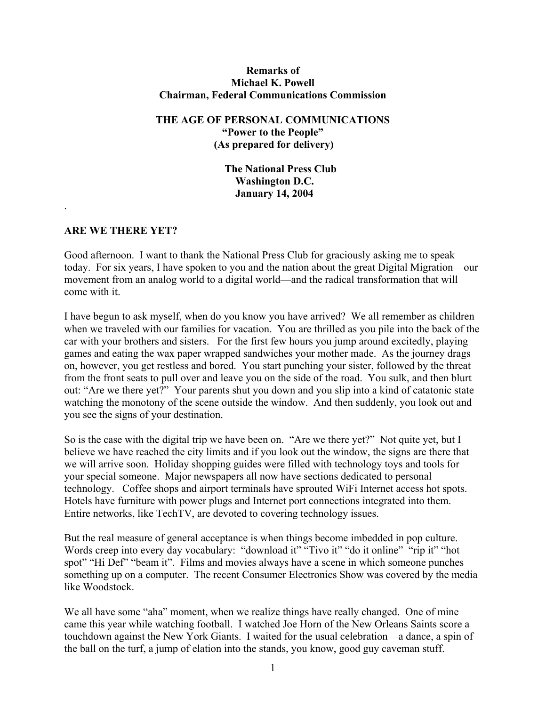### **Remarks of Michael K. Powell Chairman, Federal Communications Commission**

## **THE AGE OF PERSONAL COMMUNICATIONS "Power to the People" (As prepared for delivery)**

**The National Press Club Washington D.C. January 14, 2004** 

### **ARE WE THERE YET?**

.

Good afternoon. I want to thank the National Press Club for graciously asking me to speak today. For six years, I have spoken to you and the nation about the great Digital Migration—our movement from an analog world to a digital world—and the radical transformation that will come with it.

I have begun to ask myself, when do you know you have arrived? We all remember as children when we traveled with our families for vacation. You are thrilled as you pile into the back of the car with your brothers and sisters. For the first few hours you jump around excitedly, playing games and eating the wax paper wrapped sandwiches your mother made. As the journey drags on, however, you get restless and bored. You start punching your sister, followed by the threat from the front seats to pull over and leave you on the side of the road. You sulk, and then blurt out: "Are we there yet?" Your parents shut you down and you slip into a kind of catatonic state watching the monotony of the scene outside the window. And then suddenly, you look out and you see the signs of your destination.

So is the case with the digital trip we have been on. "Are we there yet?" Not quite yet, but I believe we have reached the city limits and if you look out the window, the signs are there that we will arrive soon. Holiday shopping guides were filled with technology toys and tools for your special someone. Major newspapers all now have sections dedicated to personal technology. Coffee shops and airport terminals have sprouted WiFi Internet access hot spots. Hotels have furniture with power plugs and Internet port connections integrated into them. Entire networks, like TechTV, are devoted to covering technology issues.

But the real measure of general acceptance is when things become imbedded in pop culture. Words creep into every day vocabulary: "download it" "Tivo it" "do it online" "rip it" "hot spot" "Hi Def" "beam it". Films and movies always have a scene in which someone punches something up on a computer. The recent Consumer Electronics Show was covered by the media like Woodstock.

We all have some "aha" moment, when we realize things have really changed. One of mine came this year while watching football. I watched Joe Horn of the New Orleans Saints score a touchdown against the New York Giants. I waited for the usual celebration—a dance, a spin of the ball on the turf, a jump of elation into the stands, you know, good guy caveman stuff.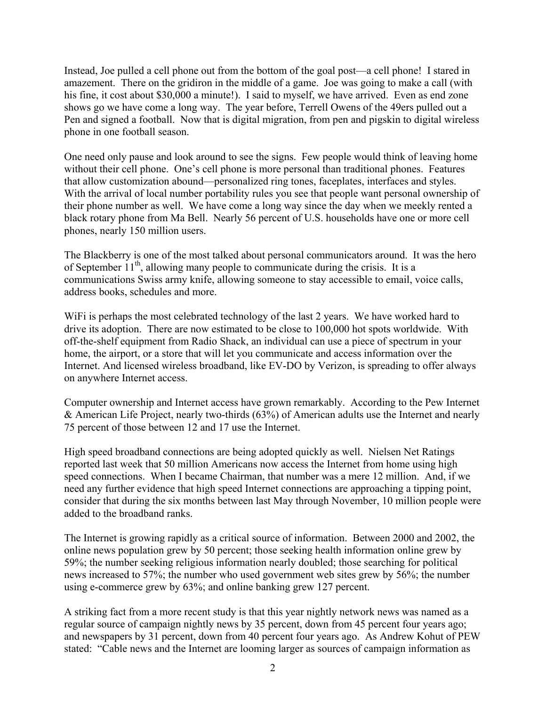Instead, Joe pulled a cell phone out from the bottom of the goal post—a cell phone! I stared in amazement. There on the gridiron in the middle of a game. Joe was going to make a call (with his fine, it cost about \$30,000 a minute!). I said to myself, we have arrived. Even as end zone shows go we have come a long way. The year before, Terrell Owens of the 49ers pulled out a Pen and signed a football. Now that is digital migration, from pen and pigskin to digital wireless phone in one football season.

One need only pause and look around to see the signs. Few people would think of leaving home without their cell phone. One's cell phone is more personal than traditional phones. Features that allow customization abound—personalized ring tones, faceplates, interfaces and styles. With the arrival of local number portability rules you see that people want personal ownership of their phone number as well. We have come a long way since the day when we meekly rented a black rotary phone from Ma Bell. Nearly 56 percent of U.S. households have one or more cell phones, nearly 150 million users.

The Blackberry is one of the most talked about personal communicators around. It was the hero of September  $11<sup>th</sup>$ , allowing many people to communicate during the crisis. It is a communications Swiss army knife, allowing someone to stay accessible to email, voice calls, address books, schedules and more.

WiFi is perhaps the most celebrated technology of the last 2 years. We have worked hard to drive its adoption. There are now estimated to be close to 100,000 hot spots worldwide. With off-the-shelf equipment from Radio Shack, an individual can use a piece of spectrum in your home, the airport, or a store that will let you communicate and access information over the Internet. And licensed wireless broadband, like EV-DO by Verizon, is spreading to offer always on anywhere Internet access.

Computer ownership and Internet access have grown remarkably. According to the Pew Internet & American Life Project, nearly two-thirds (63%) of American adults use the Internet and nearly 75 percent of those between 12 and 17 use the Internet.

High speed broadband connections are being adopted quickly as well. Nielsen Net Ratings reported last week that 50 million Americans now access the Internet from home using high speed connections. When I became Chairman, that number was a mere 12 million. And, if we need any further evidence that high speed Internet connections are approaching a tipping point, consider that during the six months between last May through November, 10 million people were added to the broadband ranks.

The Internet is growing rapidly as a critical source of information. Between 2000 and 2002, the online news population grew by 50 percent; those seeking health information online grew by 59%; the number seeking religious information nearly doubled; those searching for political news increased to 57%; the number who used government web sites grew by 56%; the number using e-commerce grew by 63%; and online banking grew 127 percent.

A striking fact from a more recent study is that this year nightly network news was named as a regular source of campaign nightly news by 35 percent, down from 45 percent four years ago; and newspapers by 31 percent, down from 40 percent four years ago. As Andrew Kohut of PEW stated: "Cable news and the Internet are looming larger as sources of campaign information as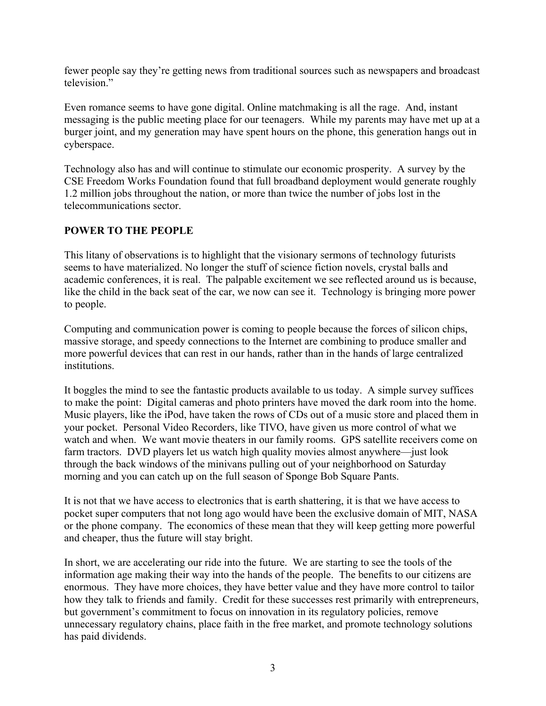fewer people say they're getting news from traditional sources such as newspapers and broadcast television"

Even romance seems to have gone digital. Online matchmaking is all the rage. And, instant messaging is the public meeting place for our teenagers. While my parents may have met up at a burger joint, and my generation may have spent hours on the phone, this generation hangs out in cyberspace.

Technology also has and will continue to stimulate our economic prosperity. A survey by the CSE Freedom Works Foundation found that full broadband deployment would generate roughly 1.2 million jobs throughout the nation, or more than twice the number of jobs lost in the telecommunications sector.

## **POWER TO THE PEOPLE**

This litany of observations is to highlight that the visionary sermons of technology futurists seems to have materialized. No longer the stuff of science fiction novels, crystal balls and academic conferences, it is real. The palpable excitement we see reflected around us is because, like the child in the back seat of the car, we now can see it. Technology is bringing more power to people.

Computing and communication power is coming to people because the forces of silicon chips, massive storage, and speedy connections to the Internet are combining to produce smaller and more powerful devices that can rest in our hands, rather than in the hands of large centralized institutions.

It boggles the mind to see the fantastic products available to us today. A simple survey suffices to make the point: Digital cameras and photo printers have moved the dark room into the home. Music players, like the iPod, have taken the rows of CDs out of a music store and placed them in your pocket. Personal Video Recorders, like TIVO, have given us more control of what we watch and when. We want movie theaters in our family rooms. GPS satellite receivers come on farm tractors. DVD players let us watch high quality movies almost anywhere—just look through the back windows of the minivans pulling out of your neighborhood on Saturday morning and you can catch up on the full season of Sponge Bob Square Pants.

It is not that we have access to electronics that is earth shattering, it is that we have access to pocket super computers that not long ago would have been the exclusive domain of MIT, NASA or the phone company. The economics of these mean that they will keep getting more powerful and cheaper, thus the future will stay bright.

In short, we are accelerating our ride into the future. We are starting to see the tools of the information age making their way into the hands of the people. The benefits to our citizens are enormous. They have more choices, they have better value and they have more control to tailor how they talk to friends and family. Credit for these successes rest primarily with entrepreneurs, but government's commitment to focus on innovation in its regulatory policies, remove unnecessary regulatory chains, place faith in the free market, and promote technology solutions has paid dividends.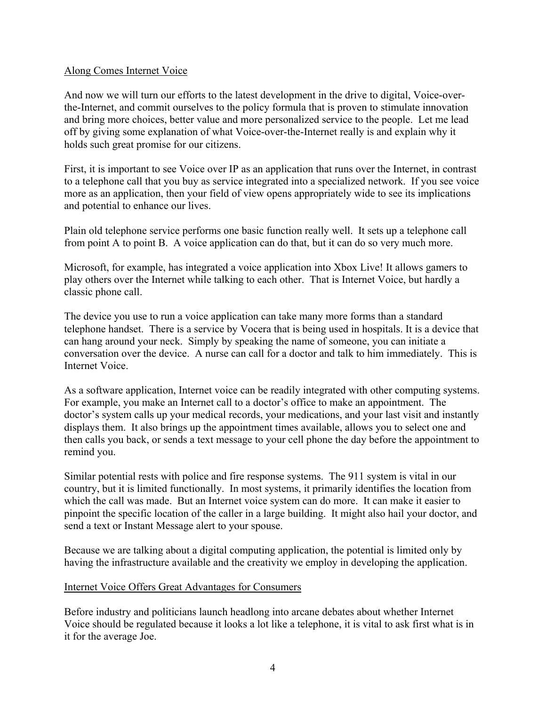### Along Comes Internet Voice

And now we will turn our efforts to the latest development in the drive to digital, Voice-overthe-Internet, and commit ourselves to the policy formula that is proven to stimulate innovation and bring more choices, better value and more personalized service to the people. Let me lead off by giving some explanation of what Voice-over-the-Internet really is and explain why it holds such great promise for our citizens.

First, it is important to see Voice over IP as an application that runs over the Internet, in contrast to a telephone call that you buy as service integrated into a specialized network. If you see voice more as an application, then your field of view opens appropriately wide to see its implications and potential to enhance our lives.

Plain old telephone service performs one basic function really well. It sets up a telephone call from point A to point B. A voice application can do that, but it can do so very much more.

Microsoft, for example, has integrated a voice application into Xbox Live! It allows gamers to play others over the Internet while talking to each other. That is Internet Voice, but hardly a classic phone call.

The device you use to run a voice application can take many more forms than a standard telephone handset. There is a service by Vocera that is being used in hospitals. It is a device that can hang around your neck. Simply by speaking the name of someone, you can initiate a conversation over the device. A nurse can call for a doctor and talk to him immediately. This is Internet Voice.

As a software application, Internet voice can be readily integrated with other computing systems. For example, you make an Internet call to a doctor's office to make an appointment. The doctor's system calls up your medical records, your medications, and your last visit and instantly displays them. It also brings up the appointment times available, allows you to select one and then calls you back, or sends a text message to your cell phone the day before the appointment to remind you.

Similar potential rests with police and fire response systems. The 911 system is vital in our country, but it is limited functionally. In most systems, it primarily identifies the location from which the call was made. But an Internet voice system can do more. It can make it easier to pinpoint the specific location of the caller in a large building. It might also hail your doctor, and send a text or Instant Message alert to your spouse.

Because we are talking about a digital computing application, the potential is limited only by having the infrastructure available and the creativity we employ in developing the application.

### Internet Voice Offers Great Advantages for Consumers

Before industry and politicians launch headlong into arcane debates about whether Internet Voice should be regulated because it looks a lot like a telephone, it is vital to ask first what is in it for the average Joe.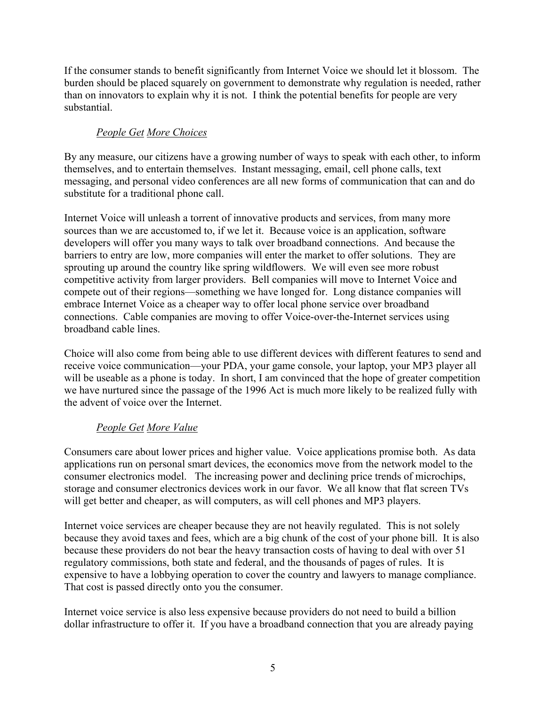If the consumer stands to benefit significantly from Internet Voice we should let it blossom. The burden should be placed squarely on government to demonstrate why regulation is needed, rather than on innovators to explain why it is not. I think the potential benefits for people are very substantial.

# *People Get More Choices*

By any measure, our citizens have a growing number of ways to speak with each other, to inform themselves, and to entertain themselves. Instant messaging, email, cell phone calls, text messaging, and personal video conferences are all new forms of communication that can and do substitute for a traditional phone call.

Internet Voice will unleash a torrent of innovative products and services, from many more sources than we are accustomed to, if we let it. Because voice is an application, software developers will offer you many ways to talk over broadband connections. And because the barriers to entry are low, more companies will enter the market to offer solutions. They are sprouting up around the country like spring wildflowers. We will even see more robust competitive activity from larger providers. Bell companies will move to Internet Voice and compete out of their regions—something we have longed for. Long distance companies will embrace Internet Voice as a cheaper way to offer local phone service over broadband connections. Cable companies are moving to offer Voice-over-the-Internet services using broadband cable lines.

Choice will also come from being able to use different devices with different features to send and receive voice communication—your PDA, your game console, your laptop, your MP3 player all will be useable as a phone is today. In short, I am convinced that the hope of greater competition we have nurtured since the passage of the 1996 Act is much more likely to be realized fully with the advent of voice over the Internet.

# *People Get More Value*

Consumers care about lower prices and higher value. Voice applications promise both. As data applications run on personal smart devices, the economics move from the network model to the consumer electronics model. The increasing power and declining price trends of microchips, storage and consumer electronics devices work in our favor. We all know that flat screen TVs will get better and cheaper, as will computers, as will cell phones and MP3 players.

Internet voice services are cheaper because they are not heavily regulated. This is not solely because they avoid taxes and fees, which are a big chunk of the cost of your phone bill. It is also because these providers do not bear the heavy transaction costs of having to deal with over 51 regulatory commissions, both state and federal, and the thousands of pages of rules. It is expensive to have a lobbying operation to cover the country and lawyers to manage compliance. That cost is passed directly onto you the consumer.

Internet voice service is also less expensive because providers do not need to build a billion dollar infrastructure to offer it. If you have a broadband connection that you are already paying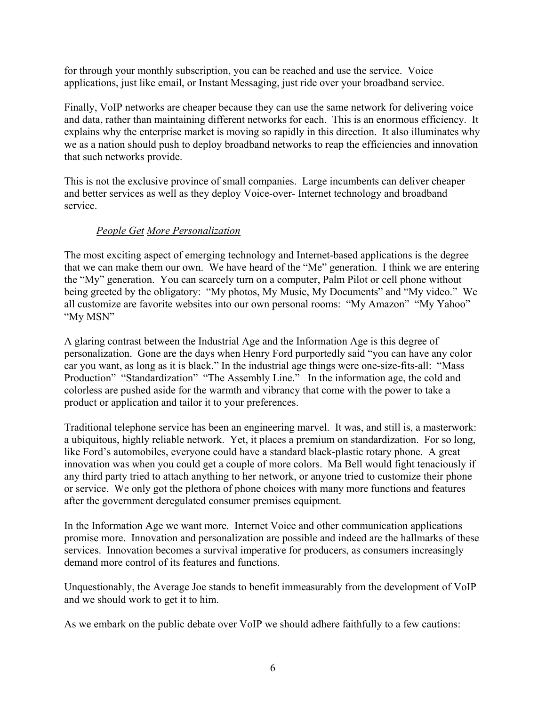for through your monthly subscription, you can be reached and use the service. Voice applications, just like email, or Instant Messaging, just ride over your broadband service.

Finally, VoIP networks are cheaper because they can use the same network for delivering voice and data, rather than maintaining different networks for each. This is an enormous efficiency. It explains why the enterprise market is moving so rapidly in this direction. It also illuminates why we as a nation should push to deploy broadband networks to reap the efficiencies and innovation that such networks provide.

This is not the exclusive province of small companies. Large incumbents can deliver cheaper and better services as well as they deploy Voice-over- Internet technology and broadband service.

## *People Get More Personalization*

The most exciting aspect of emerging technology and Internet-based applications is the degree that we can make them our own. We have heard of the "Me" generation. I think we are entering the "My" generation. You can scarcely turn on a computer, Palm Pilot or cell phone without being greeted by the obligatory: "My photos, My Music, My Documents" and "My video." We all customize are favorite websites into our own personal rooms: "My Amazon" "My Yahoo" "My MSN"

A glaring contrast between the Industrial Age and the Information Age is this degree of personalization. Gone are the days when Henry Ford purportedly said "you can have any color car you want, as long as it is black." In the industrial age things were one-size-fits-all: "Mass Production" "Standardization" "The Assembly Line." In the information age, the cold and colorless are pushed aside for the warmth and vibrancy that come with the power to take a product or application and tailor it to your preferences.

Traditional telephone service has been an engineering marvel. It was, and still is, a masterwork: a ubiquitous, highly reliable network. Yet, it places a premium on standardization. For so long, like Ford's automobiles, everyone could have a standard black-plastic rotary phone. A great innovation was when you could get a couple of more colors. Ma Bell would fight tenaciously if any third party tried to attach anything to her network, or anyone tried to customize their phone or service. We only got the plethora of phone choices with many more functions and features after the government deregulated consumer premises equipment.

In the Information Age we want more. Internet Voice and other communication applications promise more. Innovation and personalization are possible and indeed are the hallmarks of these services. Innovation becomes a survival imperative for producers, as consumers increasingly demand more control of its features and functions.

Unquestionably, the Average Joe stands to benefit immeasurably from the development of VoIP and we should work to get it to him.

As we embark on the public debate over VoIP we should adhere faithfully to a few cautions: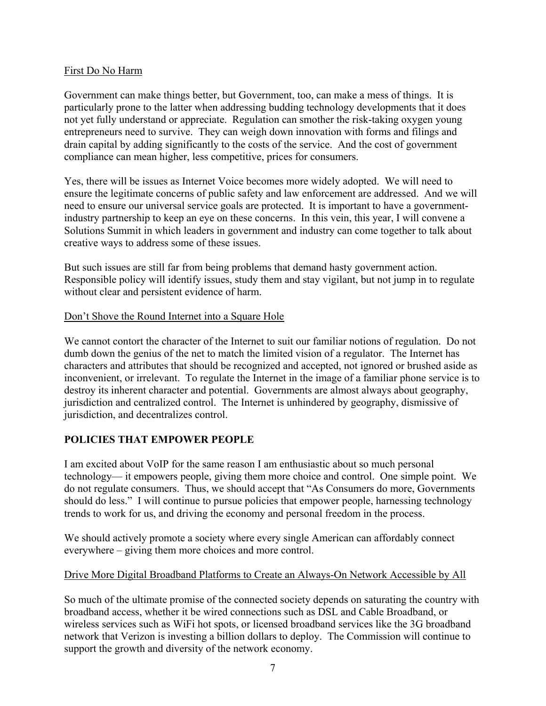### First Do No Harm

Government can make things better, but Government, too, can make a mess of things. It is particularly prone to the latter when addressing budding technology developments that it does not yet fully understand or appreciate. Regulation can smother the risk-taking oxygen young entrepreneurs need to survive. They can weigh down innovation with forms and filings and drain capital by adding significantly to the costs of the service. And the cost of government compliance can mean higher, less competitive, prices for consumers.

Yes, there will be issues as Internet Voice becomes more widely adopted. We will need to ensure the legitimate concerns of public safety and law enforcement are addressed. And we will need to ensure our universal service goals are protected. It is important to have a governmentindustry partnership to keep an eye on these concerns. In this vein, this year, I will convene a Solutions Summit in which leaders in government and industry can come together to talk about creative ways to address some of these issues.

But such issues are still far from being problems that demand hasty government action. Responsible policy will identify issues, study them and stay vigilant, but not jump in to regulate without clear and persistent evidence of harm.

### Don't Shove the Round Internet into a Square Hole

We cannot contort the character of the Internet to suit our familiar notions of regulation. Do not dumb down the genius of the net to match the limited vision of a regulator. The Internet has characters and attributes that should be recognized and accepted, not ignored or brushed aside as inconvenient, or irrelevant. To regulate the Internet in the image of a familiar phone service is to destroy its inherent character and potential. Governments are almost always about geography, jurisdiction and centralized control. The Internet is unhindered by geography, dismissive of jurisdiction, and decentralizes control.

## **POLICIES THAT EMPOWER PEOPLE**

I am excited about VoIP for the same reason I am enthusiastic about so much personal technology— it empowers people, giving them more choice and control. One simple point. We do not regulate consumers. Thus, we should accept that "As Consumers do more, Governments should do less." I will continue to pursue policies that empower people, harnessing technology trends to work for us, and driving the economy and personal freedom in the process.

We should actively promote a society where every single American can affordably connect everywhere – giving them more choices and more control.

### Drive More Digital Broadband Platforms to Create an Always-On Network Accessible by All

So much of the ultimate promise of the connected society depends on saturating the country with broadband access, whether it be wired connections such as DSL and Cable Broadband, or wireless services such as WiFi hot spots, or licensed broadband services like the 3G broadband network that Verizon is investing a billion dollars to deploy. The Commission will continue to support the growth and diversity of the network economy.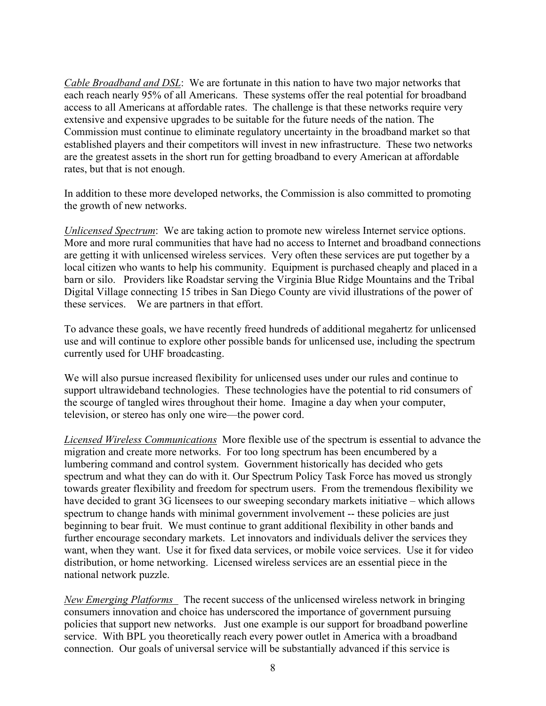*Cable Broadband and DSL*: We are fortunate in this nation to have two major networks that each reach nearly 95% of all Americans. These systems offer the real potential for broadband access to all Americans at affordable rates. The challenge is that these networks require very extensive and expensive upgrades to be suitable for the future needs of the nation. The Commission must continue to eliminate regulatory uncertainty in the broadband market so that established players and their competitors will invest in new infrastructure. These two networks are the greatest assets in the short run for getting broadband to every American at affordable rates, but that is not enough.

In addition to these more developed networks, the Commission is also committed to promoting the growth of new networks.

*Unlicensed Spectrum*: We are taking action to promote new wireless Internet service options. More and more rural communities that have had no access to Internet and broadband connections are getting it with unlicensed wireless services. Very often these services are put together by a local citizen who wants to help his community. Equipment is purchased cheaply and placed in a barn or silo. Providers like Roadstar serving the Virginia Blue Ridge Mountains and the Tribal Digital Village connecting 15 tribes in San Diego County are vivid illustrations of the power of these services. We are partners in that effort.

To advance these goals, we have recently freed hundreds of additional megahertz for unlicensed use and will continue to explore other possible bands for unlicensed use, including the spectrum currently used for UHF broadcasting.

We will also pursue increased flexibility for unlicensed uses under our rules and continue to support ultrawideband technologies. These technologies have the potential to rid consumers of the scourge of tangled wires throughout their home. Imagine a day when your computer, television, or stereo has only one wire—the power cord.

*Licensed Wireless Communications* More flexible use of the spectrum is essential to advance the migration and create more networks. For too long spectrum has been encumbered by a lumbering command and control system. Government historically has decided who gets spectrum and what they can do with it. Our Spectrum Policy Task Force has moved us strongly towards greater flexibility and freedom for spectrum users. From the tremendous flexibility we have decided to grant 3G licensees to our sweeping secondary markets initiative – which allows spectrum to change hands with minimal government involvement -- these policies are just beginning to bear fruit. We must continue to grant additional flexibility in other bands and further encourage secondary markets. Let innovators and individuals deliver the services they want, when they want. Use it for fixed data services, or mobile voice services. Use it for video distribution, or home networking. Licensed wireless services are an essential piece in the national network puzzle.

*New Emerging Platforms* The recent success of the unlicensed wireless network in bringing consumers innovation and choice has underscored the importance of government pursuing policies that support new networks. Just one example is our support for broadband powerline service. With BPL you theoretically reach every power outlet in America with a broadband connection. Our goals of universal service will be substantially advanced if this service is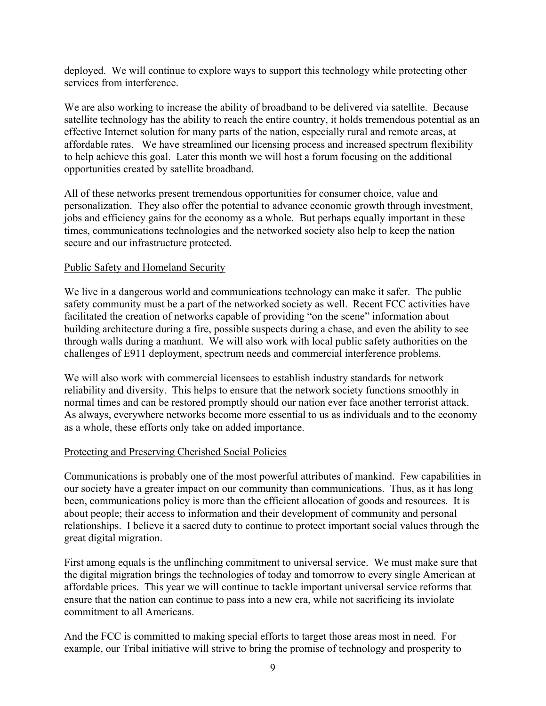deployed. We will continue to explore ways to support this technology while protecting other services from interference.

We are also working to increase the ability of broadband to be delivered via satellite. Because satellite technology has the ability to reach the entire country, it holds tremendous potential as an effective Internet solution for many parts of the nation, especially rural and remote areas, at affordable rates. We have streamlined our licensing process and increased spectrum flexibility to help achieve this goal. Later this month we will host a forum focusing on the additional opportunities created by satellite broadband.

All of these networks present tremendous opportunities for consumer choice, value and personalization. They also offer the potential to advance economic growth through investment, jobs and efficiency gains for the economy as a whole. But perhaps equally important in these times, communications technologies and the networked society also help to keep the nation secure and our infrastructure protected.

### Public Safety and Homeland Security

We live in a dangerous world and communications technology can make it safer. The public safety community must be a part of the networked society as well. Recent FCC activities have facilitated the creation of networks capable of providing "on the scene" information about building architecture during a fire, possible suspects during a chase, and even the ability to see through walls during a manhunt. We will also work with local public safety authorities on the challenges of E911 deployment, spectrum needs and commercial interference problems.

We will also work with commercial licensees to establish industry standards for network reliability and diversity. This helps to ensure that the network society functions smoothly in normal times and can be restored promptly should our nation ever face another terrorist attack. As always, everywhere networks become more essential to us as individuals and to the economy as a whole, these efforts only take on added importance.

## Protecting and Preserving Cherished Social Policies

Communications is probably one of the most powerful attributes of mankind. Few capabilities in our society have a greater impact on our community than communications. Thus, as it has long been, communications policy is more than the efficient allocation of goods and resources. It is about people; their access to information and their development of community and personal relationships. I believe it a sacred duty to continue to protect important social values through the great digital migration.

First among equals is the unflinching commitment to universal service. We must make sure that the digital migration brings the technologies of today and tomorrow to every single American at affordable prices. This year we will continue to tackle important universal service reforms that ensure that the nation can continue to pass into a new era, while not sacrificing its inviolate commitment to all Americans.

And the FCC is committed to making special efforts to target those areas most in need. For example, our Tribal initiative will strive to bring the promise of technology and prosperity to